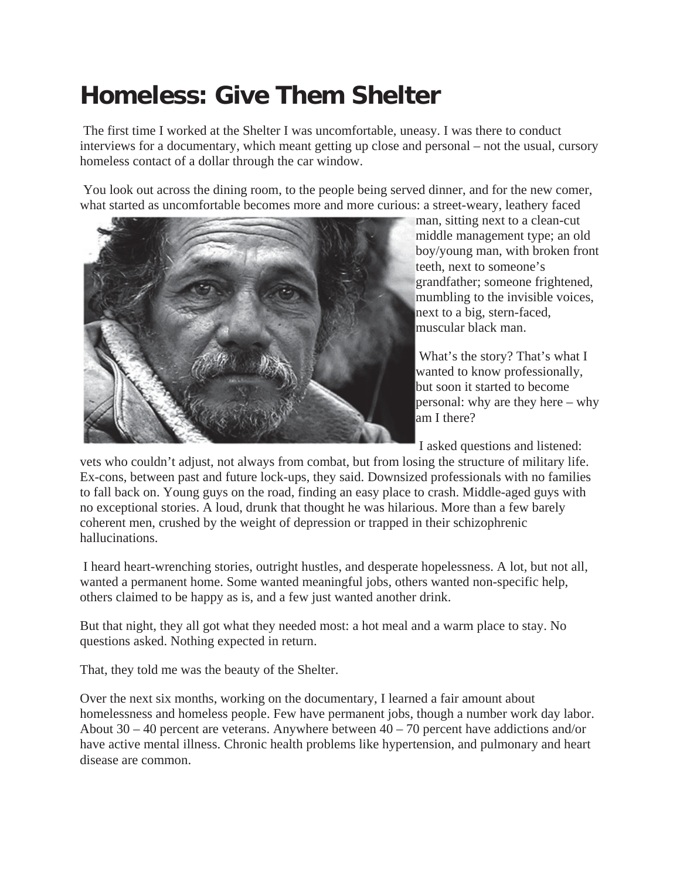## **Homeless: Give Them Shelter**

 The first time I worked at the Shelter I was uncomfortable, uneasy. I was there to conduct interviews for a documentary, which meant getting up close and personal – not the usual, cursory homeless contact of a dollar through the car window.

 You look out across the dining room, to the people being served dinner, and for the new comer, what started as uncomfortable becomes more and more curious: a street-weary, leathery faced



man, sitting next to a clean-cut middle management type; an old boy/young man, with broken front teeth, next to someone's grandfather; someone frightened, mumbling to the invisible voices, next to a big, stern-faced, muscular black man.

 What's the story? That's what I wanted to know professionally, but soon it started to become personal: why are they here – why am I there?

I asked questions and listened:

vets who couldn't adjust, not always from combat, but from losing the structure of military life. Ex-cons, between past and future lock-ups, they said. Downsized professionals with no families to fall back on. Young guys on the road, finding an easy place to crash. Middle-aged guys with no exceptional stories. A loud, drunk that thought he was hilarious. More than a few barely coherent men, crushed by the weight of depression or trapped in their schizophrenic hallucinations.

 I heard heart-wrenching stories, outright hustles, and desperate hopelessness. A lot, but not all, wanted a permanent home. Some wanted meaningful jobs, others wanted non-specific help, others claimed to be happy as is, and a few just wanted another drink.

But that night, they all got what they needed most: a hot meal and a warm place to stay. No questions asked. Nothing expected in return.

That, they told me was the beauty of the Shelter.

Over the next six months, working on the documentary, I learned a fair amount about homelessness and homeless people. Few have permanent jobs, though a number work day labor. About 30 – 40 percent are veterans. Anywhere between 40 – 70 percent have addictions and/or have active mental illness. Chronic health problems like hypertension, and pulmonary and heart disease are common.